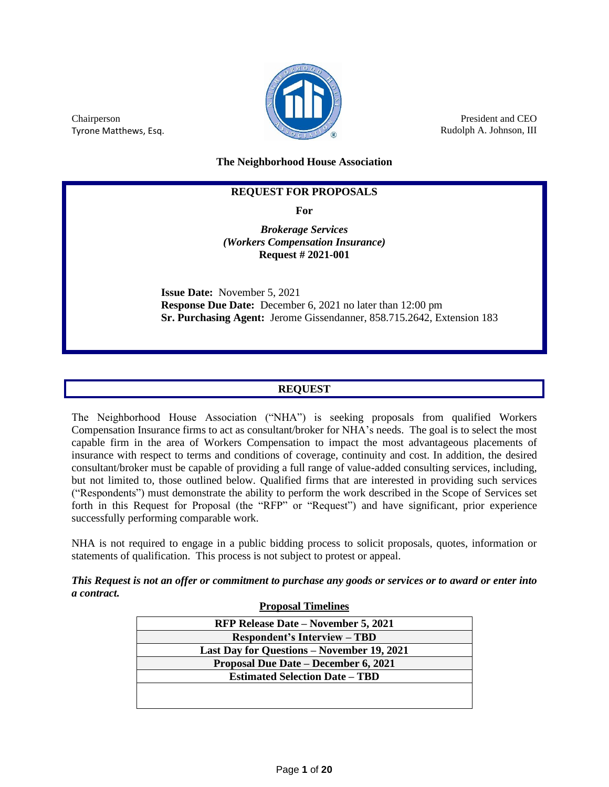

President and CEO Rudolph A. Johnson, III

Chairperson Tyrone Matthews, Esq.

**The Neighborhood House Association**

### **REQUEST FOR PROPOSALS**

**For**

*Brokerage Services (Workers Compensation Insurance)* **Request # 2021-001**

**Issue Date:** November 5, 2021 **Response Due Date:** December 6, 2021 no later than 12:00 pm **Sr. Purchasing Agent:** Jerome Gissendanner, 858.715.2642, Extension 183

## **REQUEST**

The Neighborhood House Association ("NHA") is seeking proposals from qualified Workers Compensation Insurance firms to act as consultant/broker for NHA's needs. The goal is to select the most capable firm in the area of Workers Compensation to impact the most advantageous placements of insurance with respect to terms and conditions of coverage, continuity and cost. In addition, the desired consultant/broker must be capable of providing a full range of value-added consulting services, including, but not limited to, those outlined below. Qualified firms that are interested in providing such services ("Respondents") must demonstrate the ability to perform the work described in the Scope of Services set forth in this Request for Proposal (the "RFP" or "Request") and have significant, prior experience successfully performing comparable work.

NHA is not required to engage in a public bidding process to solicit proposals, quotes, information or statements of qualification. This process is not subject to protest or appeal.

*This Request is not an offer or commitment to purchase any goods or services or to award or enter into a contract.*

| <b>Proposal Timelines</b>                  |  |  |  |
|--------------------------------------------|--|--|--|
| <b>RFP Release Date – November 5, 2021</b> |  |  |  |
| <b>Respondent's Interview – TBD</b>        |  |  |  |
| Last Day for Questions – November 19, 2021 |  |  |  |
| Proposal Due Date – December 6, 2021       |  |  |  |
| <b>Estimated Selection Date - TBD</b>      |  |  |  |
|                                            |  |  |  |
|                                            |  |  |  |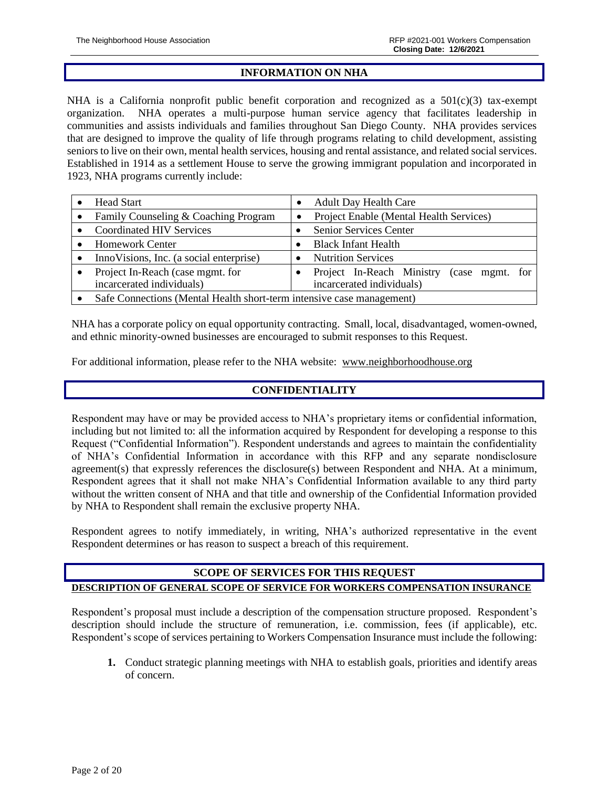#### **INFORMATION ON NHA**

NHA is a California nonprofit public benefit corporation and recognized as a  $501(c)(3)$  tax-exempt organization. NHA operates a multi-purpose human service agency that facilitates leadership in communities and assists individuals and families throughout San Diego County. NHA provides services that are designed to improve the quality of life through programs relating to child development, assisting seniors to live on their own, mental health services, housing and rental assistance, and related social services. Established in 1914 as a settlement House to serve the growing immigrant population and incorporated in 1923, NHA programs currently include:

| <b>Head Start</b>                                                     |           | <b>Adult Day Health Care</b>                 |
|-----------------------------------------------------------------------|-----------|----------------------------------------------|
| Family Counseling & Coaching Program                                  | $\bullet$ | Project Enable (Mental Health Services)      |
| <b>Coordinated HIV Services</b>                                       |           | Senior Services Center                       |
| <b>Homework Center</b>                                                |           | <b>Black Infant Health</b>                   |
| Inno Visions, Inc. (a social enterprise)                              |           | <b>Nutrition Services</b>                    |
| Project In-Reach (case mgmt. for                                      |           | Project In-Reach Ministry<br>(case mgmt. for |
| incarcerated individuals)                                             |           | incarcerated individuals)                    |
| Safe Connections (Mental Health short-term intensive case management) |           |                                              |

NHA has a corporate policy on equal opportunity contracting. Small, local, disadvantaged, women-owned, and ethnic minority-owned businesses are encouraged to submit responses to this Request.

For additional information, please refer to the NHA website: [www.neighborhoodhouse.org](http://www.neighborhoodhouse.org/)

## **CONFIDENTIALITY**

Respondent may have or may be provided access to NHA's proprietary items or confidential information, including but not limited to: all the information acquired by Respondent for developing a response to this Request ("Confidential Information"). Respondent understands and agrees to maintain the confidentiality of NHA's Confidential Information in accordance with this RFP and any separate nondisclosure agreement(s) that expressly references the disclosure(s) between Respondent and NHA. At a minimum, Respondent agrees that it shall not make NHA's Confidential Information available to any third party without the written consent of NHA and that title and ownership of the Confidential Information provided by NHA to Respondent shall remain the exclusive property NHA.

Respondent agrees to notify immediately, in writing, NHA's authorized representative in the event Respondent determines or has reason to suspect a breach of this requirement.

## **SCOPE OF SERVICES FOR THIS REQUEST DESCRIPTION OF GENERAL SCOPE OF SERVICE FOR WORKERS COMPENSATION INSURANCE**

Respondent's proposal must include a description of the compensation structure proposed. Respondent's description should include the structure of remuneration, i.e. commission, fees (if applicable), etc. Respondent's scope of services pertaining to Workers Compensation Insurance must include the following:

**1.** Conduct strategic planning meetings with NHA to establish goals, priorities and identify areas of concern.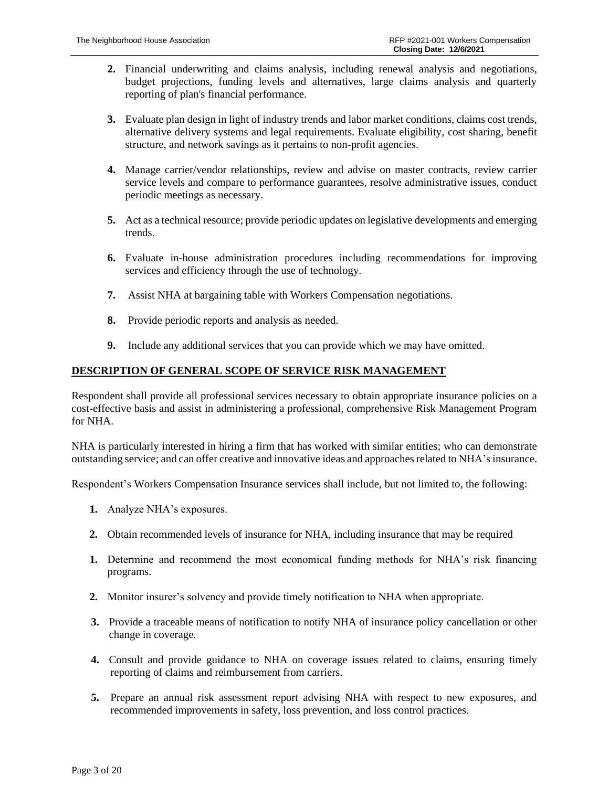- **2.** Financial underwriting and claims analysis, including renewal analysis and negotiations, budget projections, funding levels and alternatives, large claims analysis and quarterly reporting of plan's financial performance.
- **3.** Evaluate plan design in light of industry trends and labor market conditions, claims cost trends, alternative delivery systems and legal requirements. Evaluate eligibility, cost sharing, benefit structure, and network savings as it pertains to non-profit agencies.
- **4.** Manage carrier/vendor relationships, review and advise on master contracts, review carrier service levels and compare to performance guarantees, resolve administrative issues, conduct periodic meetings as necessary.
- **5.** Act as a technical resource; provide periodic updates on legislative developments and emerging trends.
- **6.** Evaluate in-house administration procedures including recommendations for improving services and efficiency through the use of technology.
- **7.** Assist NHA at bargaining table with Workers Compensation negotiations.
- **8.** Provide periodic reports and analysis as needed.
- **9.** Include any additional services that you can provide which we may have omitted.

### **DESCRIPTION OF GENERAL SCOPE OF SERVICE RISK MANAGEMENT**

Respondent shall provide all professional services necessary to obtain appropriate insurance policies on a cost-effective basis and assist in administering a professional, comprehensive Risk Management Program for NHA.

NHA is particularly interested in hiring a firm that has worked with similar entities; who can demonstrate outstanding service; and can offer creative and innovative ideas and approaches related to NHA's insurance.

Respondent's Workers Compensation Insurance services shall include, but not limited to, the following:

- **1.** Analyze NHA's exposures.
- **2.** Obtain recommended levels of insurance for NHA, including insurance that may be required
- **1.** Determine and recommend the most economical funding methods for NHA's risk financing programs.
- **2.** Monitor insurer's solvency and provide timely notification to NHA when appropriate.
- **3.** Provide a traceable means of notification to notify NHA of insurance policy cancellation or other change in coverage.
- **4.** Consult and provide guidance to NHA on coverage issues related to claims, ensuring timely reporting of claims and reimbursement from carriers.
- **5.** Prepare an annual risk assessment report advising NHA with respect to new exposures, and recommended improvements in safety, loss prevention, and loss control practices.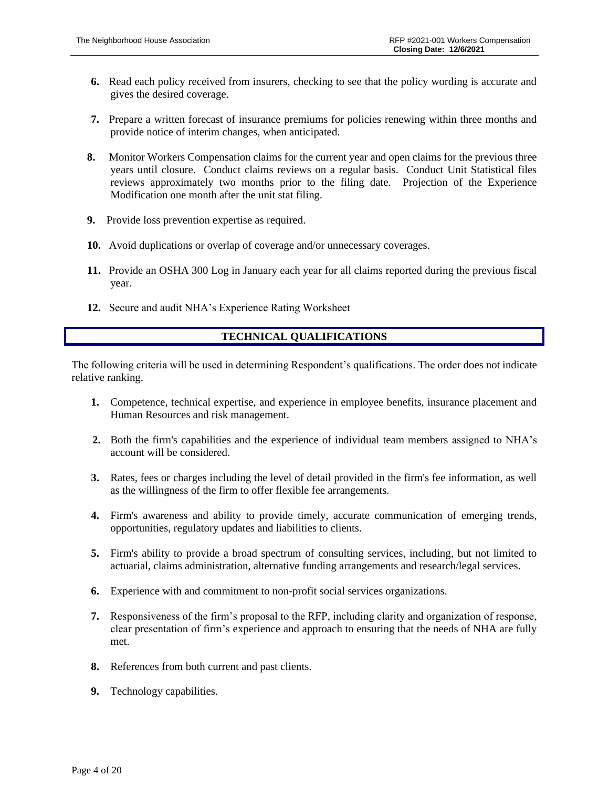- **6.** Read each policy received from insurers, checking to see that the policy wording is accurate and gives the desired coverage.
- **7.** Prepare a written forecast of insurance premiums for policies renewing within three months and provide notice of interim changes, when anticipated.
- **8.** Monitor Workers Compensation claims for the current year and open claims for the previous three years until closure. Conduct claims reviews on a regular basis. Conduct Unit Statistical files reviews approximately two months prior to the filing date. Projection of the Experience Modification one month after the unit stat filing.
- **9.** Provide loss prevention expertise as required.
- **10.** Avoid duplications or overlap of coverage and/or unnecessary coverages.
- **11.** Provide an OSHA 300 Log in January each year for all claims reported during the previous fiscal year.
- **12.** Secure and audit NHA's Experience Rating Worksheet

## **TECHNICAL QUALIFICATIONS**

The following criteria will be used in determining Respondent's qualifications. The order does not indicate relative ranking.

- **1.** Competence, technical expertise, and experience in employee benefits, insurance placement and Human Resources and risk management.
- **2.** Both the firm's capabilities and the experience of individual team members assigned to NHA's account will be considered.
- **3.** Rates, fees or charges including the level of detail provided in the firm's fee information, as well as the willingness of the firm to offer flexible fee arrangements.
- **4.** Firm's awareness and ability to provide timely, accurate communication of emerging trends, opportunities, regulatory updates and liabilities to clients.
- **5.** Firm's ability to provide a broad spectrum of consulting services, including, but not limited to actuarial, claims administration, alternative funding arrangements and research/legal services.
- **6.** Experience with and commitment to non-profit social services organizations.
- **7.** Responsiveness of the firm's proposal to the RFP, including clarity and organization of response, clear presentation of firm's experience and approach to ensuring that the needs of NHA are fully met.
- **8.** References from both current and past clients.
- **9.** Technology capabilities.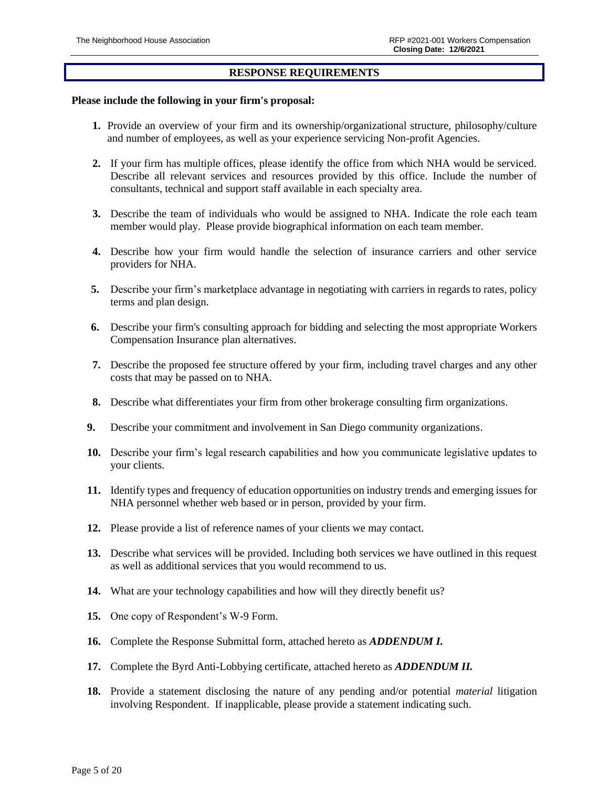#### **RESPONSE REQUIREMENTS**

#### **Please include the following in your firm's proposal:**

- **1.** Provide an overview of your firm and its ownership/organizational structure, philosophy/culture and number of employees, as well as your experience servicing Non-profit Agencies.
- **2.** If your firm has multiple offices, please identify the office from which NHA would be serviced. Describe all relevant services and resources provided by this office. Include the number of consultants, technical and support staff available in each specialty area.
- **3.** Describe the team of individuals who would be assigned to NHA. Indicate the role each team member would play. Please provide biographical information on each team member.
- **4.** Describe how your firm would handle the selection of insurance carriers and other service providers for NHA.
- **5.** Describe your firm's marketplace advantage in negotiating with carriers in regards to rates, policy terms and plan design.
- **6.** Describe your firm's consulting approach for bidding and selecting the most appropriate Workers Compensation Insurance plan alternatives.
- **7.** Describe the proposed fee structure offered by your firm, including travel charges and any other costs that may be passed on to NHA.
- **8.** Describe what differentiates your firm from other brokerage consulting firm organizations.
- **9.** Describe your commitment and involvement in San Diego community organizations.
- **10.** Describe your firm's legal research capabilities and how you communicate legislative updates to your clients.
- **11.** Identify types and frequency of education opportunities on industry trends and emerging issues for NHA personnel whether web based or in person, provided by your firm.
- **12.** Please provide a list of reference names of your clients we may contact.
- **13.** Describe what services will be provided. Including both services we have outlined in this request as well as additional services that you would recommend to us.
- **14.** What are your technology capabilities and how will they directly benefit us?
- **15.** One copy of Respondent's W-9 Form.
- **16.** Complete the Response Submittal form, attached hereto as *ADDENDUM I.*
- **17.** Complete the Byrd Anti-Lobbying certificate, attached hereto as *ADDENDUM II.*
- **18.** Provide a statement disclosing the nature of any pending and/or potential *material* litigation involving Respondent. If inapplicable, please provide a statement indicating such.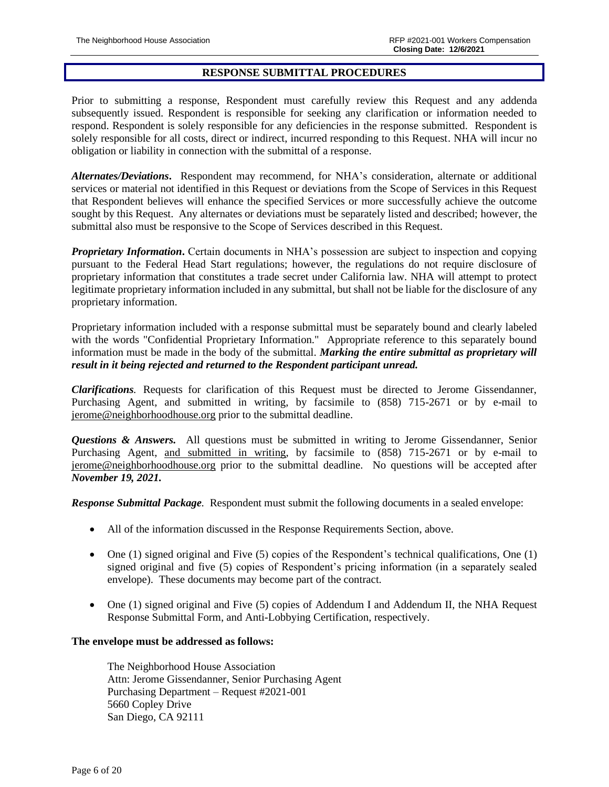#### **RESPONSE SUBMITTAL PROCEDURES**

Prior to submitting a response, Respondent must carefully review this Request and any addenda subsequently issued. Respondent is responsible for seeking any clarification or information needed to respond. Respondent is solely responsible for any deficiencies in the response submitted. Respondent is solely responsible for all costs, direct or indirect, incurred responding to this Request. NHA will incur no obligation or liability in connection with the submittal of a response.

*Alternates/Deviations***.** Respondent may recommend, for NHA's consideration, alternate or additional services or material not identified in this Request or deviations from the Scope of Services in this Request that Respondent believes will enhance the specified Services or more successfully achieve the outcome sought by this Request. Any alternates or deviations must be separately listed and described; however, the submittal also must be responsive to the Scope of Services described in this Request.

*Proprietary Information***.** Certain documents in NHA's possession are subject to inspection and copying pursuant to the Federal Head Start regulations; however, the regulations do not require disclosure of proprietary information that constitutes a trade secret under California law. NHA will attempt to protect legitimate proprietary information included in any submittal, but shall not be liable for the disclosure of any proprietary information.

Proprietary information included with a response submittal must be separately bound and clearly labeled with the words "Confidential Proprietary Information." Appropriate reference to this separately bound information must be made in the body of the submittal. *Marking the entire submittal as proprietary will result in it being rejected and returned to the Respondent participant unread.*

*Clarifications.* Requests for clarification of this Request must be directed to Jerome Gissendanner, Purchasing Agent, and submitted in writing, by facsimile to (858) 715-2671 or by e-mail to [jerome@neighborhoodhouse.org](mailto:jerome@neighborhoodhouse.org) prior to the submittal deadline.

*Questions & Answers.* All questions must be submitted in writing to Jerome Gissendanner, Senior Purchasing Agent, and submitted in writing, by facsimile to (858) 715-2671 or by e-mail to [jerome@neighborhoodhouse.org](mailto:jerome@neighborhoodhouse.org) prior to the submittal deadline. No questions will be accepted after *November 19, 2021.*

*Response Submittal Package.* Respondent must submit the following documents in a sealed envelope:

- All of the information discussed in the Response Requirements Section, above.
- One (1) signed original and Five (5) copies of the Respondent's technical qualifications, One (1) signed original and five (5) copies of Respondent's pricing information (in a separately sealed envelope). These documents may become part of the contract.
- One (1) signed original and Five (5) copies of Addendum I and Addendum II, the NHA Request Response Submittal Form, and Anti-Lobbying Certification, respectively.

#### **The envelope must be addressed as follows:**

The Neighborhood House Association Attn: Jerome Gissendanner, Senior Purchasing Agent Purchasing Department – Request #2021-001 5660 Copley Drive San Diego, CA 92111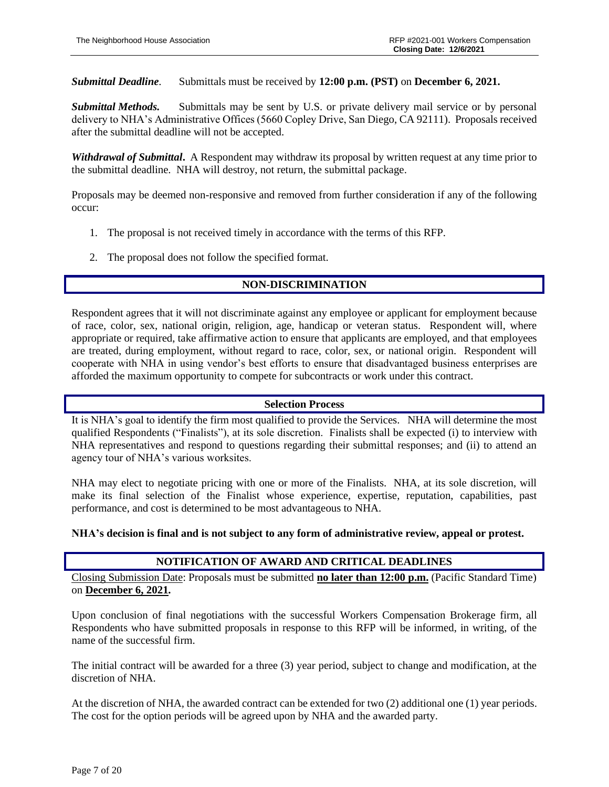### *Submittal Deadline.* Submittals must be received by **12:00 p.m. (PST)** on **December 6, 2021.**

*Submittal Methods.* Submittals may be sent by U.S. or private delivery mail service or by personal delivery to NHA's Administrative Offices (5660 Copley Drive, San Diego, CA 92111). Proposals received after the submittal deadline will not be accepted.

*Withdrawal of Submittal***.** A Respondent may withdraw its proposal by written request at any time prior to the submittal deadline. NHA will destroy, not return, the submittal package.

Proposals may be deemed non-responsive and removed from further consideration if any of the following occur:

- 1. The proposal is not received timely in accordance with the terms of this RFP.
- 2. The proposal does not follow the specified format.

## **NON-DISCRIMINATION**

Respondent agrees that it will not discriminate against any employee or applicant for employment because of race, color, sex, national origin, religion, age, handicap or veteran status. Respondent will, where appropriate or required, take affirmative action to ensure that applicants are employed, and that employees are treated, during employment, without regard to race, color, sex, or national origin. Respondent will cooperate with NHA in using vendor's best efforts to ensure that disadvantaged business enterprises are afforded the maximum opportunity to compete for subcontracts or work under this contract.

### **Selection Process**

It is NHA's goal to identify the firm most qualified to provide the Services. NHA will determine the most qualified Respondents ("Finalists"), at its sole discretion. Finalists shall be expected (i) to interview with NHA representatives and respond to questions regarding their submittal responses; and (ii) to attend an agency tour of NHA's various worksites.

NHA may elect to negotiate pricing with one or more of the Finalists. NHA, at its sole discretion, will make its final selection of the Finalist whose experience, expertise, reputation, capabilities, past performance, and cost is determined to be most advantageous to NHA.

### **NHA's decision is final and is not subject to any form of administrative review, appeal or protest.**

### **NOTIFICATION OF AWARD AND CRITICAL DEADLINES**

Closing Submission Date: Proposals must be submitted **no later than 12:00 p.m.** (Pacific Standard Time) on **December 6, 2021.**

Upon conclusion of final negotiations with the successful Workers Compensation Brokerage firm, all Respondents who have submitted proposals in response to this RFP will be informed, in writing, of the name of the successful firm.

The initial contract will be awarded for a three (3) year period, subject to change and modification, at the discretion of NHA.

At the discretion of NHA*,* the awarded contract can be extended for two (2) additional one (1) year periods. The cost for the option periods will be agreed upon by NHA and the awarded party.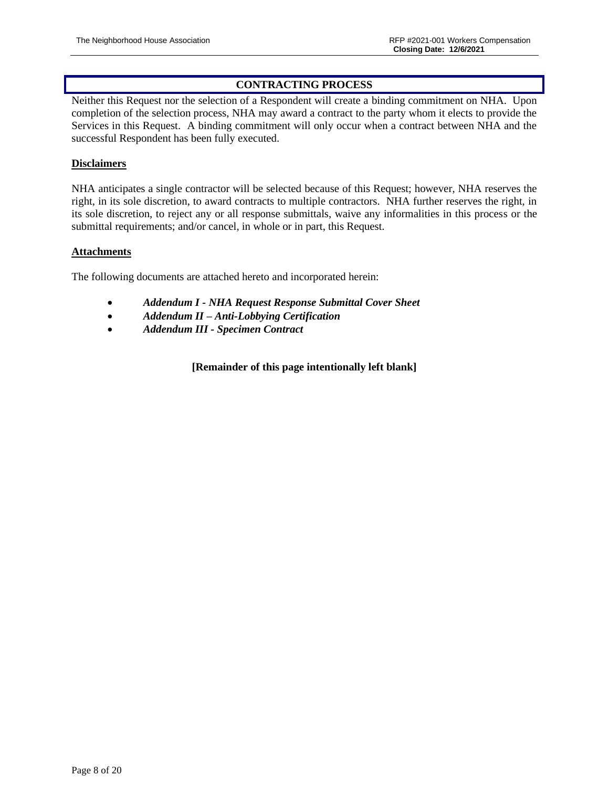## **CONTRACTING PROCESS**

Neither this Request nor the selection of a Respondent will create a binding commitment on NHA. Upon completion of the selection process, NHA may award a contract to the party whom it elects to provide the Services in this Request. A binding commitment will only occur when a contract between NHA and the successful Respondent has been fully executed.

### **Disclaimers**

NHA anticipates a single contractor will be selected because of this Request; however, NHA reserves the right, in its sole discretion, to award contracts to multiple contractors. NHA further reserves the right, in its sole discretion, to reject any or all response submittals, waive any informalities in this process or the submittal requirements; and/or cancel, in whole or in part, this Request.

### **Attachments**

The following documents are attached hereto and incorporated herein:

- *Addendum I - NHA Request Response Submittal Cover Sheet*
- *Addendum II – Anti-Lobbying Certification*
- *Addendum III - Specimen Contract*

**[Remainder of this page intentionally left blank]**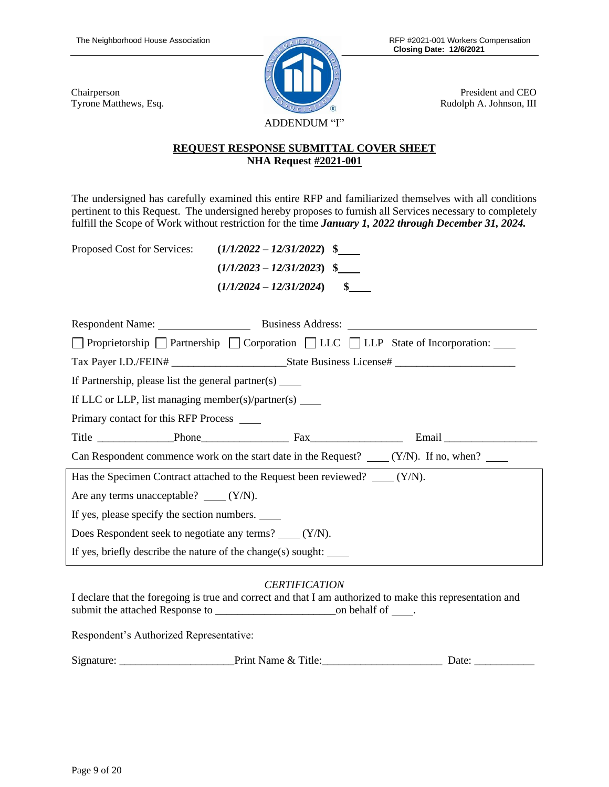Chairperson

Tyrone Matthews, Esq.



President and CEO Rudolph A. Johnson, III

# **REQUEST RESPONSE SUBMITTAL COVER SHEET NHA Request #2021-001**

The undersigned has carefully examined this entire RFP and familiarized themselves with all conditions pertinent to this Request. The undersigned hereby proposes to furnish all Services necessary to completely fulfill the Scope of Work without restriction for the time *January 1, 2022 through December 31, 2024.* 

Proposed Cost for Services: **(***1/1/2022 – 12/31/2022***) \$**

| $(1/1/2022 - 12/31/2022)$ \$ |     |
|------------------------------|-----|
| $(1/1/2023 - 12/31/2023)$ \$ |     |
| $(1/1/2024 - 12/31/2024)$    | SS. |

| □ Proprietorship □ Partnership □ Corporation □ LLC □ LLP State of Incorporation:             |  |  |  |  |  |
|----------------------------------------------------------------------------------------------|--|--|--|--|--|
|                                                                                              |  |  |  |  |  |
| If Partnership, please list the general partner(s) $\frac{ }{ }$                             |  |  |  |  |  |
| If LLC or LLP, list managing member(s)/partner(s) $\qquad$                                   |  |  |  |  |  |
| Primary contact for this RFP Process _______                                                 |  |  |  |  |  |
|                                                                                              |  |  |  |  |  |
| Can Respondent commence work on the start date in the Request? $\qquad (Y/N)$ . If no, when? |  |  |  |  |  |
| Has the Specimen Contract attached to the Request been reviewed? (Y/N).                      |  |  |  |  |  |
| Are any terms unacceptable? $\_\_\_ (Y/N)$ .                                                 |  |  |  |  |  |
| If yes, please specify the section numbers.                                                  |  |  |  |  |  |
| Does Respondent seek to negotiate any terms? _____ (Y/N).                                    |  |  |  |  |  |
| If yes, briefly describe the nature of the change(s) sought: $\qquad \qquad$                 |  |  |  |  |  |

# *CERTIFICATION*

I declare that the foregoing is true and correct and that I am authorized to make this representation and submit the attached Response to \_\_\_\_\_\_\_\_\_\_\_\_\_\_\_\_\_\_\_\_\_\_on behalf of .

Respondent's Authorized Representative:

| $\sim$<br>Signature <sup>-</sup> | <sup>1</sup> tle<br>-----<br><br>"INE<br>'Name-<br>$\alpha$ | Jate |
|----------------------------------|-------------------------------------------------------------|------|
|                                  |                                                             |      |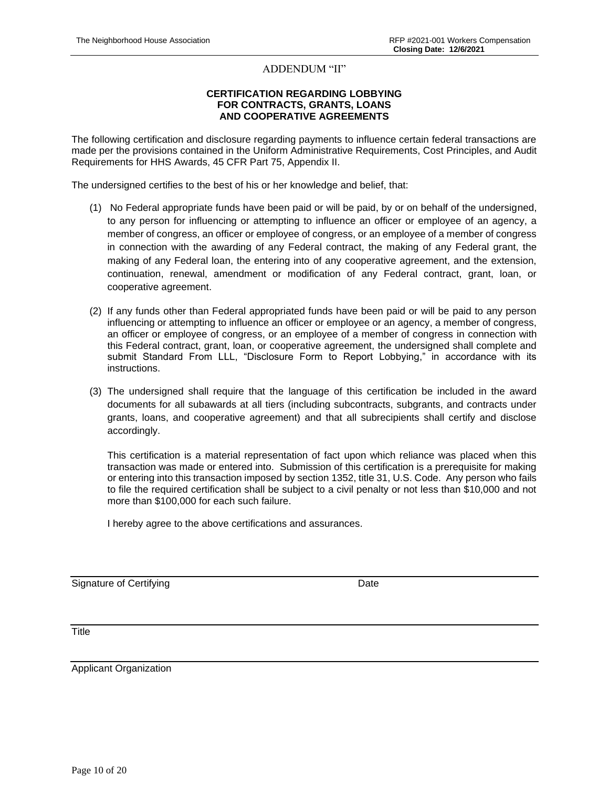#### ADDENDUM "II"

#### **CERTIFICATION REGARDING LOBBYING FOR CONTRACTS, GRANTS, LOANS AND COOPERATIVE AGREEMENTS**

The following certification and disclosure regarding payments to influence certain federal transactions are made per the provisions contained in the Uniform Administrative Requirements, Cost Principles, and Audit Requirements for HHS Awards, 45 CFR Part 75, Appendix II.

The undersigned certifies to the best of his or her knowledge and belief, that:

- (1) No Federal appropriate funds have been paid or will be paid, by or on behalf of the undersigned, to any person for influencing or attempting to influence an officer or employee of an agency, a member of congress, an officer or employee of congress, or an employee of a member of congress in connection with the awarding of any Federal contract, the making of any Federal grant, the making of any Federal loan, the entering into of any cooperative agreement, and the extension, continuation, renewal, amendment or modification of any Federal contract, grant, loan, or cooperative agreement.
- (2) If any funds other than Federal appropriated funds have been paid or will be paid to any person influencing or attempting to influence an officer or employee or an agency, a member of congress, an officer or employee of congress, or an employee of a member of congress in connection with this Federal contract, grant, loan, or cooperative agreement, the undersigned shall complete and submit Standard From LLL, "Disclosure Form to Report Lobbying," in accordance with its instructions.
- (3) The undersigned shall require that the language of this certification be included in the award documents for all subawards at all tiers (including subcontracts, subgrants, and contracts under grants, loans, and cooperative agreement) and that all subrecipients shall certify and disclose accordingly.

This certification is a material representation of fact upon which reliance was placed when this transaction was made or entered into. Submission of this certification is a prerequisite for making or entering into this transaction imposed by section 1352, title 31, U.S. Code. Any person who fails to file the required certification shall be subject to a civil penalty or not less than \$10,000 and not more than \$100,000 for each such failure.

I hereby agree to the above certifications and assurances.

Signature of Certifying **Date** Date **Date** 

**Title** 

Applicant Organization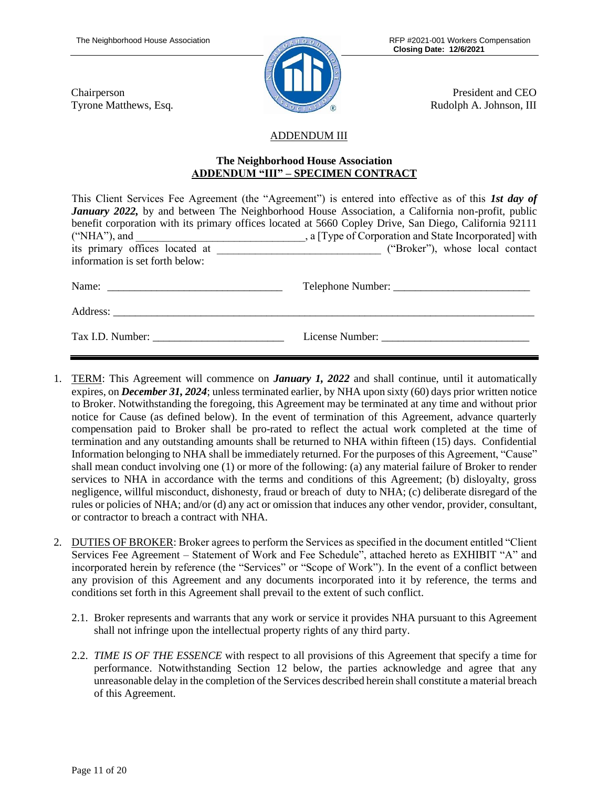Chairperson

Tyrone Matthews, Esq.



President and CEO Rudolph A. Johnson, III

# ADDENDUM III

#### **The Neighborhood House Association ADDENDUM "III" – SPECIMEN CONTRACT**

|                                 | This Client Services Fee Agreement (the "Agreement") is entered into effective as of this 1st day of    |
|---------------------------------|---------------------------------------------------------------------------------------------------------|
|                                 | <b>January 2022,</b> by and between The Neighborhood House Association, a California non-profit, public |
|                                 | benefit corporation with its primary offices located at 5660 Copley Drive, San Diego, California 92111  |
|                                 |                                                                                                         |
|                                 |                                                                                                         |
| information is set forth below: |                                                                                                         |
|                                 | Telephone Number:                                                                                       |
| Address:                        |                                                                                                         |
|                                 | License Number:                                                                                         |

- 1. TERM: This Agreement will commence on *January 1, 2022* and shall continue, until it automatically expires, on *December 31, 2024*; unless terminated earlier, by NHA upon sixty (60) days prior written notice to Broker. Notwithstanding the foregoing, this Agreement may be terminated at any time and without prior notice for Cause (as defined below). In the event of termination of this Agreement, advance quarterly compensation paid to Broker shall be pro-rated to reflect the actual work completed at the time of termination and any outstanding amounts shall be returned to NHA within fifteen (15) days. Confidential Information belonging to NHA shall be immediately returned. For the purposes of this Agreement, "Cause" shall mean conduct involving one (1) or more of the following: (a) any material failure of Broker to render services to NHA in accordance with the terms and conditions of this Agreement; (b) disloyalty, gross negligence, willful misconduct, dishonesty, fraud or breach of duty to NHA; (c) deliberate disregard of the rules or policies of NHA; and/or (d) any act or omission that induces any other vendor, provider, consultant, or contractor to breach a contract with NHA.
- 2. DUTIES OF BROKER: Broker agrees to perform the Services as specified in the document entitled "Client Services Fee Agreement – Statement of Work and Fee Schedule", attached hereto as EXHIBIT "A" and incorporated herein by reference (the "Services" or "Scope of Work"). In the event of a conflict between any provision of this Agreement and any documents incorporated into it by reference, the terms and conditions set forth in this Agreement shall prevail to the extent of such conflict.
	- 2.1. Broker represents and warrants that any work or service it provides NHA pursuant to this Agreement shall not infringe upon the intellectual property rights of any third party.
	- 2.2. *TIME IS OF THE ESSENCE* with respect to all provisions of this Agreement that specify a time for performance. Notwithstanding Section 12 below, the parties acknowledge and agree that any unreasonable delay in the completion of the Services described herein shall constitute a material breach of this Agreement.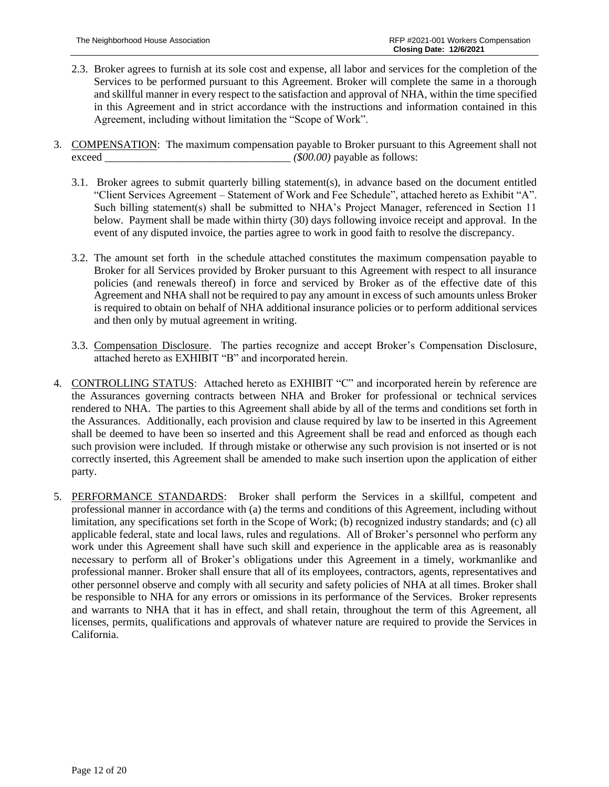- 2.3. Broker agrees to furnish at its sole cost and expense, all labor and services for the completion of the Services to be performed pursuant to this Agreement. Broker will complete the same in a thorough and skillful manner in every respect to the satisfaction and approval of NHA, within the time specified in this Agreement and in strict accordance with the instructions and information contained in this Agreement, including without limitation the "Scope of Work".
- 3. COMPENSATION: The maximum compensation payable to Broker pursuant to this Agreement shall not exceed *\_\_\_\_\_\_\_\_\_\_\_\_\_\_\_\_\_\_\_\_\_\_\_\_\_\_\_\_\_\_\_\_\_\_ (\$00.00)* payable as follows:
	- 3.1. Broker agrees to submit quarterly billing statement(s), in advance based on the document entitled "Client Services Agreement – Statement of Work and Fee Schedule", attached hereto as Exhibit "A". Such billing statement(s) shall be submitted to NHA's Project Manager, referenced in Section 11 below. Payment shall be made within thirty (30) days following invoice receipt and approval. In the event of any disputed invoice, the parties agree to work in good faith to resolve the discrepancy.
	- 3.2. The amount set forth in the schedule attached constitutes the maximum compensation payable to Broker for all Services provided by Broker pursuant to this Agreement with respect to all insurance policies (and renewals thereof) in force and serviced by Broker as of the effective date of this Agreement and NHA shall not be required to pay any amount in excess of such amounts unless Broker is required to obtain on behalf of NHA additional insurance policies or to perform additional services and then only by mutual agreement in writing.
	- 3.3. Compensation Disclosure. The parties recognize and accept Broker's Compensation Disclosure, attached hereto as EXHIBIT "B" and incorporated herein.
- 4. CONTROLLING STATUS: Attached hereto as EXHIBIT "C" and incorporated herein by reference are the Assurances governing contracts between NHA and Broker for professional or technical services rendered to NHA. The parties to this Agreement shall abide by all of the terms and conditions set forth in the Assurances. Additionally, each provision and clause required by law to be inserted in this Agreement shall be deemed to have been so inserted and this Agreement shall be read and enforced as though each such provision were included. If through mistake or otherwise any such provision is not inserted or is not correctly inserted, this Agreement shall be amended to make such insertion upon the application of either party.
- 5. PERFORMANCE STANDARDS: Broker shall perform the Services in a skillful, competent and professional manner in accordance with (a) the terms and conditions of this Agreement, including without limitation, any specifications set forth in the Scope of Work; (b) recognized industry standards; and (c) all applicable federal, state and local laws, rules and regulations. All of Broker's personnel who perform any work under this Agreement shall have such skill and experience in the applicable area as is reasonably necessary to perform all of Broker's obligations under this Agreement in a timely, workmanlike and professional manner. Broker shall ensure that all of its employees, contractors, agents, representatives and other personnel observe and comply with all security and safety policies of NHA at all times. Broker shall be responsible to NHA for any errors or omissions in its performance of the Services. Broker represents and warrants to NHA that it has in effect, and shall retain, throughout the term of this Agreement, all licenses, permits, qualifications and approvals of whatever nature are required to provide the Services in California.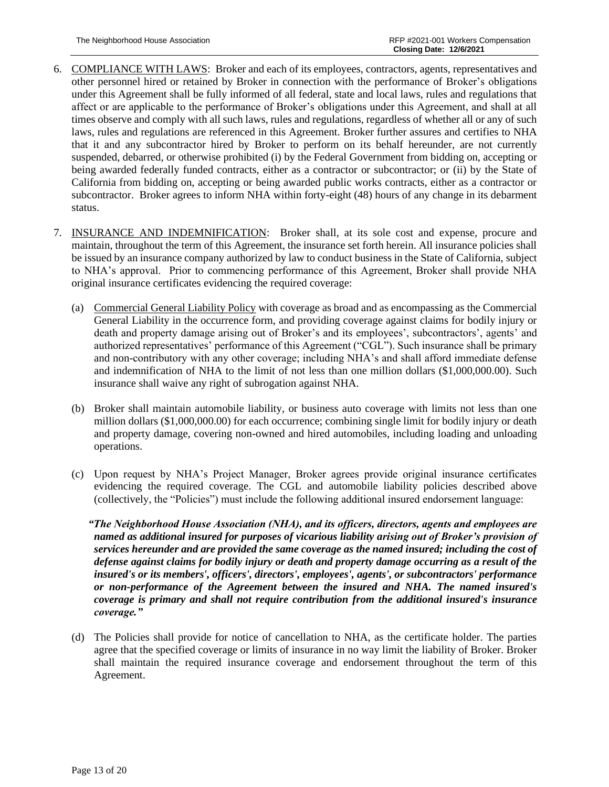- 6. COMPLIANCE WITH LAWS: Broker and each of its employees, contractors, agents, representatives and other personnel hired or retained by Broker in connection with the performance of Broker's obligations under this Agreement shall be fully informed of all federal, state and local laws, rules and regulations that affect or are applicable to the performance of Broker's obligations under this Agreement, and shall at all times observe and comply with all such laws, rules and regulations, regardless of whether all or any of such laws, rules and regulations are referenced in this Agreement. Broker further assures and certifies to NHA that it and any subcontractor hired by Broker to perform on its behalf hereunder, are not currently suspended, debarred, or otherwise prohibited (i) by the Federal Government from bidding on, accepting or being awarded federally funded contracts, either as a contractor or subcontractor; or (ii) by the State of California from bidding on, accepting or being awarded public works contracts, either as a contractor or subcontractor. Broker agrees to inform NHA within forty-eight (48) hours of any change in its debarment status.
- 7. INSURANCE AND INDEMNIFICATION: Broker shall, at its sole cost and expense, procure and maintain, throughout the term of this Agreement, the insurance set forth herein. All insurance policies shall be issued by an insurance company authorized by law to conduct business in the State of California, subject to NHA's approval. Prior to commencing performance of this Agreement, Broker shall provide NHA original insurance certificates evidencing the required coverage:
	- (a) Commercial General Liability Policy with coverage as broad and as encompassing as the Commercial General Liability in the occurrence form, and providing coverage against claims for bodily injury or death and property damage arising out of Broker's and its employees', subcontractors', agents' and authorized representatives' performance of this Agreement ("CGL"). Such insurance shall be primary and non-contributory with any other coverage; including NHA's and shall afford immediate defense and indemnification of NHA to the limit of not less than one million dollars (\$1,000,000.00). Such insurance shall waive any right of subrogation against NHA.
	- (b) Broker shall maintain automobile liability, or business auto coverage with limits not less than one million dollars (\$1,000,000.00) for each occurrence; combining single limit for bodily injury or death and property damage, covering non-owned and hired automobiles, including loading and unloading operations.
	- (c) Upon request by NHA's Project Manager, Broker agrees provide original insurance certificates evidencing the required coverage. The CGL and automobile liability policies described above (collectively, the "Policies") must include the following additional insured endorsement language:

 *"The Neighborhood House Association (NHA), and its officers, directors, agents and employees are named as additional insured for purposes of vicarious liability arising out of Broker's provision of services hereunder and are provided the same coverage as the named insured; including the cost of defense against claims for bodily injury or death and property damage occurring as a result of the insured's or its members', officers', directors', employees', agents', or subcontractors' performance or non-performance of the Agreement between the insured and NHA. The named insured's coverage is primary and shall not require contribution from the additional insured's insurance coverage."*

(d) The Policies shall provide for notice of cancellation to NHA, as the certificate holder. The parties agree that the specified coverage or limits of insurance in no way limit the liability of Broker. Broker shall maintain the required insurance coverage and endorsement throughout the term of this Agreement.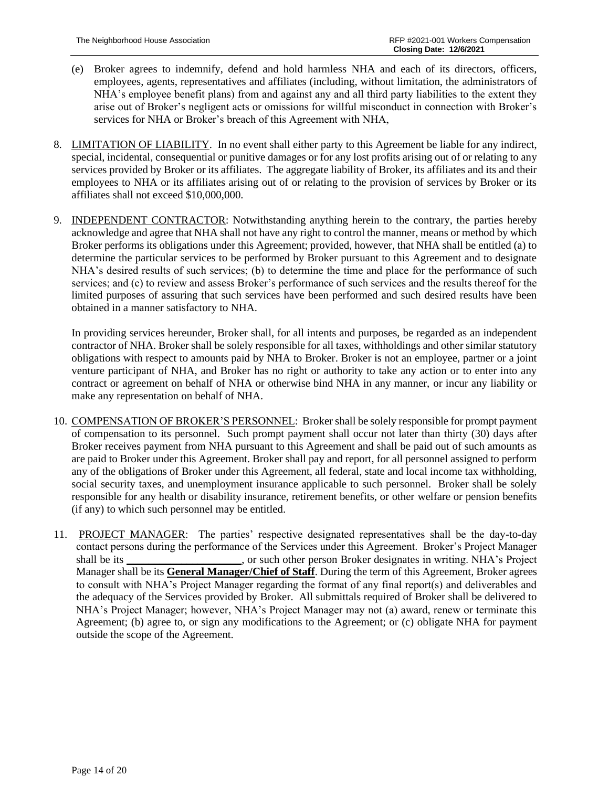- (e) Broker agrees to indemnify, defend and hold harmless NHA and each of its directors, officers, employees, agents, representatives and affiliates (including, without limitation, the administrators of NHA's employee benefit plans) from and against any and all third party liabilities to the extent they arise out of Broker's negligent acts or omissions for willful misconduct in connection with Broker's services for NHA or Broker's breach of this Agreement with NHA,
- 8. LIMITATION OF LIABILITY. In no event shall either party to this Agreement be liable for any indirect, special, incidental, consequential or punitive damages or for any lost profits arising out of or relating to any services provided by Broker or its affiliates. The aggregate liability of Broker, its affiliates and its and their employees to NHA or its affiliates arising out of or relating to the provision of services by Broker or its affiliates shall not exceed \$10,000,000.
- 9. INDEPENDENT CONTRACTOR: Notwithstanding anything herein to the contrary, the parties hereby acknowledge and agree that NHA shall not have any right to control the manner, means or method by which Broker performs its obligations under this Agreement; provided, however, that NHA shall be entitled (a) to determine the particular services to be performed by Broker pursuant to this Agreement and to designate NHA's desired results of such services; (b) to determine the time and place for the performance of such services; and (c) to review and assess Broker's performance of such services and the results thereof for the limited purposes of assuring that such services have been performed and such desired results have been obtained in a manner satisfactory to NHA.

In providing services hereunder, Broker shall, for all intents and purposes, be regarded as an independent contractor of NHA. Broker shall be solely responsible for all taxes, withholdings and other similar statutory obligations with respect to amounts paid by NHA to Broker. Broker is not an employee, partner or a joint venture participant of NHA, and Broker has no right or authority to take any action or to enter into any contract or agreement on behalf of NHA or otherwise bind NHA in any manner, or incur any liability or make any representation on behalf of NHA.

- 10. COMPENSATION OF BROKER'S PERSONNEL: Broker shall be solely responsible for prompt payment of compensation to its personnel. Such prompt payment shall occur not later than thirty (30) days after Broker receives payment from NHA pursuant to this Agreement and shall be paid out of such amounts as are paid to Broker under this Agreement. Broker shall pay and report, for all personnel assigned to perform any of the obligations of Broker under this Agreement, all federal, state and local income tax withholding, social security taxes, and unemployment insurance applicable to such personnel. Broker shall be solely responsible for any health or disability insurance, retirement benefits, or other welfare or pension benefits (if any) to which such personnel may be entitled.
- 11. PROJECT MANAGER: The parties' respective designated representatives shall be the day-to-day contact persons during the performance of the Services under this Agreement. Broker's Project Manager shall be its **\_\_\_\_\_\_\_\_\_\_\_\_\_\_\_\_\_\_\_\_\_**, or such other person Broker designates in writing. NHA's Project Manager shall be its **General Manager/Chief of Staff**. During the term of this Agreement, Broker agrees to consult with NHA's Project Manager regarding the format of any final report(s) and deliverables and the adequacy of the Services provided by Broker. All submittals required of Broker shall be delivered to NHA's Project Manager; however, NHA's Project Manager may not (a) award, renew or terminate this Agreement; (b) agree to, or sign any modifications to the Agreement; or (c) obligate NHA for payment outside the scope of the Agreement.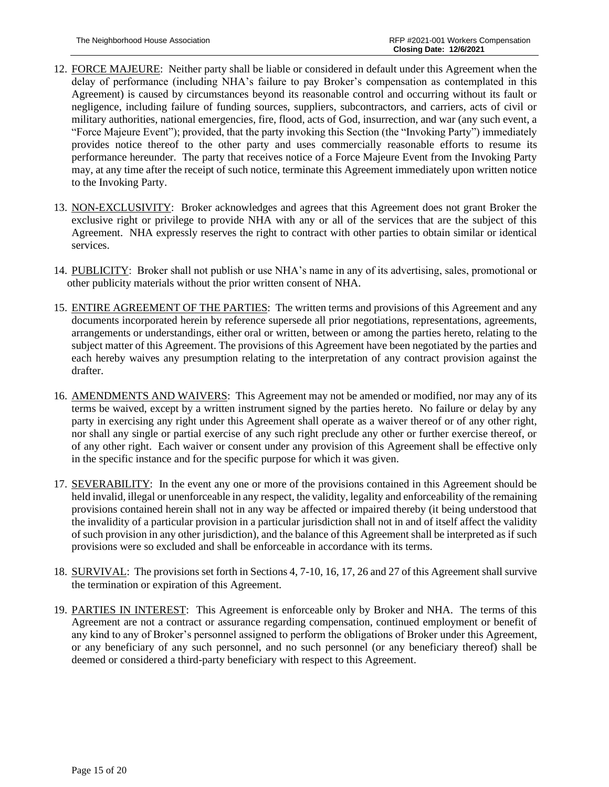- 12. FORCE MAJEURE: Neither party shall be liable or considered in default under this Agreement when the delay of performance (including NHA's failure to pay Broker's compensation as contemplated in this Agreement) is caused by circumstances beyond its reasonable control and occurring without its fault or negligence, including failure of funding sources, suppliers, subcontractors, and carriers, acts of civil or military authorities, national emergencies, fire, flood, acts of God, insurrection, and war (any such event, a "Force Majeure Event"); provided, that the party invoking this Section (the "Invoking Party") immediately provides notice thereof to the other party and uses commercially reasonable efforts to resume its performance hereunder. The party that receives notice of a Force Majeure Event from the Invoking Party may, at any time after the receipt of such notice, terminate this Agreement immediately upon written notice to the Invoking Party.
- 13. NON-EXCLUSIVITY: Broker acknowledges and agrees that this Agreement does not grant Broker the exclusive right or privilege to provide NHA with any or all of the services that are the subject of this Agreement. NHA expressly reserves the right to contract with other parties to obtain similar or identical services.
- 14. PUBLICITY: Broker shall not publish or use NHA's name in any of its advertising, sales, promotional or other publicity materials without the prior written consent of NHA.
- 15. ENTIRE AGREEMENT OF THE PARTIES: The written terms and provisions of this Agreement and any documents incorporated herein by reference supersede all prior negotiations, representations, agreements, arrangements or understandings, either oral or written, between or among the parties hereto, relating to the subject matter of this Agreement. The provisions of this Agreement have been negotiated by the parties and each hereby waives any presumption relating to the interpretation of any contract provision against the drafter.
- 16. AMENDMENTS AND WAIVERS: This Agreement may not be amended or modified, nor may any of its terms be waived, except by a written instrument signed by the parties hereto. No failure or delay by any party in exercising any right under this Agreement shall operate as a waiver thereof or of any other right, nor shall any single or partial exercise of any such right preclude any other or further exercise thereof, or of any other right. Each waiver or consent under any provision of this Agreement shall be effective only in the specific instance and for the specific purpose for which it was given.
- 17. SEVERABILITY: In the event any one or more of the provisions contained in this Agreement should be held invalid, illegal or unenforceable in any respect, the validity, legality and enforceability of the remaining provisions contained herein shall not in any way be affected or impaired thereby (it being understood that the invalidity of a particular provision in a particular jurisdiction shall not in and of itself affect the validity of such provision in any other jurisdiction), and the balance of this Agreement shall be interpreted as if such provisions were so excluded and shall be enforceable in accordance with its terms.
- 18. SURVIVAL: The provisions set forth in Sections 4, 7-10, 16, 17, 26 and 27 of this Agreement shall survive the termination or expiration of this Agreement.
- 19. PARTIES IN INTEREST: This Agreement is enforceable only by Broker and NHA. The terms of this Agreement are not a contract or assurance regarding compensation, continued employment or benefit of any kind to any of Broker's personnel assigned to perform the obligations of Broker under this Agreement, or any beneficiary of any such personnel, and no such personnel (or any beneficiary thereof) shall be deemed or considered a third-party beneficiary with respect to this Agreement.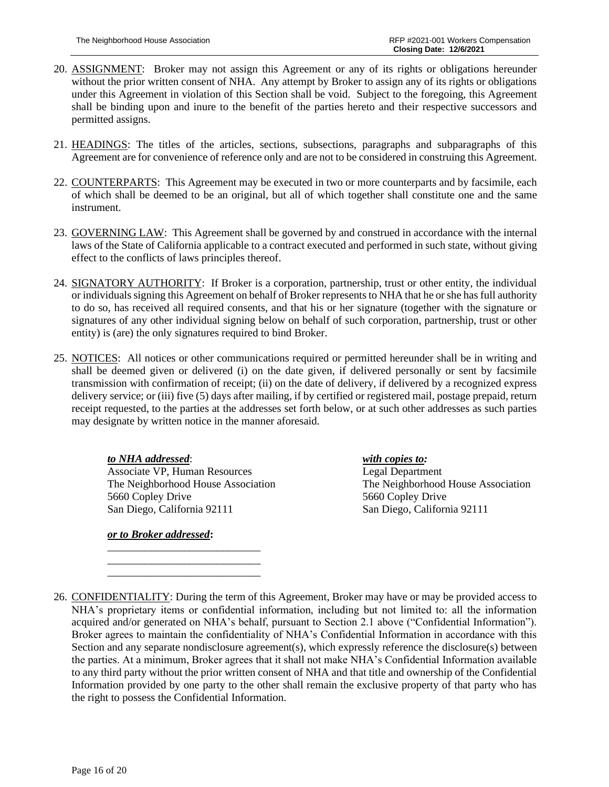- 20. ASSIGNMENT: Broker may not assign this Agreement or any of its rights or obligations hereunder without the prior written consent of NHA. Any attempt by Broker to assign any of its rights or obligations under this Agreement in violation of this Section shall be void. Subject to the foregoing, this Agreement shall be binding upon and inure to the benefit of the parties hereto and their respective successors and permitted assigns.
- 21. HEADINGS: The titles of the articles, sections, subsections, paragraphs and subparagraphs of this Agreement are for convenience of reference only and are not to be considered in construing this Agreement.
- 22. COUNTERPARTS: This Agreement may be executed in two or more counterparts and by facsimile, each of which shall be deemed to be an original, but all of which together shall constitute one and the same instrument.
- 23. GOVERNING LAW: This Agreement shall be governed by and construed in accordance with the internal laws of the State of California applicable to a contract executed and performed in such state, without giving effect to the conflicts of laws principles thereof.
- 24. SIGNATORY AUTHORITY: If Broker is a corporation, partnership, trust or other entity, the individual or individuals signing this Agreement on behalf of Broker represents to NHA that he or she has full authority to do so, has received all required consents, and that his or her signature (together with the signature or signatures of any other individual signing below on behalf of such corporation, partnership, trust or other entity) is (are) the only signatures required to bind Broker.
- 25. NOTICES: All notices or other communications required or permitted hereunder shall be in writing and shall be deemed given or delivered (i) on the date given, if delivered personally or sent by facsimile transmission with confirmation of receipt; (ii) on the date of delivery, if delivered by a recognized express delivery service; or (iii) five (5) days after mailing, if by certified or registered mail, postage prepaid, return receipt requested, to the parties at the addresses set forth below, or at such other addresses as such parties may designate by written notice in the manner aforesaid.

*to NHA addressed*: *with copies to:* Associate VP, Human Resources Legal Department 5660 Copley Drive 5660 Copley Drive San Diego, California 92111 San Diego, California 92111

\_\_\_\_\_\_\_\_\_\_\_\_\_\_\_\_\_\_\_\_\_\_\_\_\_\_\_\_ \_\_\_\_\_\_\_\_\_\_\_\_\_\_\_\_\_\_\_\_\_\_\_\_\_\_\_\_ \_\_\_\_\_\_\_\_\_\_\_\_\_\_\_\_\_\_\_\_\_\_\_\_\_\_\_\_

*or to Broker addressed***:**

The Neighborhood House Association The Neighborhood House Association

<sup>26.</sup> CONFIDENTIALITY: During the term of this Agreement, Broker may have or may be provided access to NHA's proprietary items or confidential information, including but not limited to: all the information acquired and/or generated on NHA's behalf, pursuant to Section 2.1 above ("Confidential Information"). Broker agrees to maintain the confidentiality of NHA's Confidential Information in accordance with this Section and any separate nondisclosure agreement(s), which expressly reference the disclosure(s) between the parties. At a minimum, Broker agrees that it shall not make NHA's Confidential Information available to any third party without the prior written consent of NHA and that title and ownership of the Confidential Information provided by one party to the other shall remain the exclusive property of that party who has the right to possess the Confidential Information.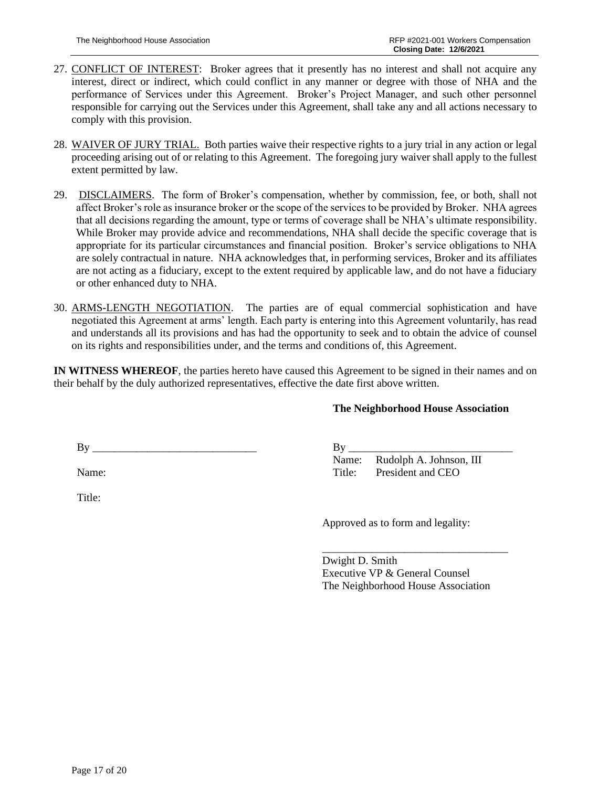- 27. CONFLICT OF INTEREST: Broker agrees that it presently has no interest and shall not acquire any interest, direct or indirect, which could conflict in any manner or degree with those of NHA and the performance of Services under this Agreement. Broker's Project Manager, and such other personnel responsible for carrying out the Services under this Agreement, shall take any and all actions necessary to comply with this provision.
- 28. WAIVER OF JURY TRIAL. Both parties waive their respective rights to a jury trial in any action or legal proceeding arising out of or relating to this Agreement. The foregoing jury waiver shall apply to the fullest extent permitted by law.
- 29. DISCLAIMERS. The form of Broker's compensation, whether by commission, fee, or both, shall not affect Broker's role as insurance broker or the scope of the services to be provided by Broker. NHA agrees that all decisions regarding the amount, type or terms of coverage shall be NHA's ultimate responsibility. While Broker may provide advice and recommendations, NHA shall decide the specific coverage that is appropriate for its particular circumstances and financial position. Broker's service obligations to NHA are solely contractual in nature. NHA acknowledges that, in performing services, Broker and its affiliates are not acting as a fiduciary, except to the extent required by applicable law, and do not have a fiduciary or other enhanced duty to NHA.
- 30. ARMS-LENGTH NEGOTIATION. The parties are of equal commercial sophistication and have negotiated this Agreement at arms' length. Each party is entering into this Agreement voluntarily, has read and understands all its provisions and has had the opportunity to seek and to obtain the advice of counsel on its rights and responsibilities under, and the terms and conditions of, this Agreement.

**IN WITNESS WHEREOF**, the parties hereto have caused this Agreement to be signed in their names and on their behalf by the duly authorized representatives, effective the date first above written.

### **The Neighborhood House Association**

 $By \_\_$ 

Name:

Title:

 $By \_\_$ Name: Rudolph A. Johnson, III Title: President and CEO

Approved as to form and legality:

\_\_\_\_\_\_\_\_\_\_\_\_\_\_\_\_\_\_\_\_\_\_\_\_\_\_\_\_\_\_\_\_\_\_ Dwight D. Smith Executive VP & General Counsel The Neighborhood House Association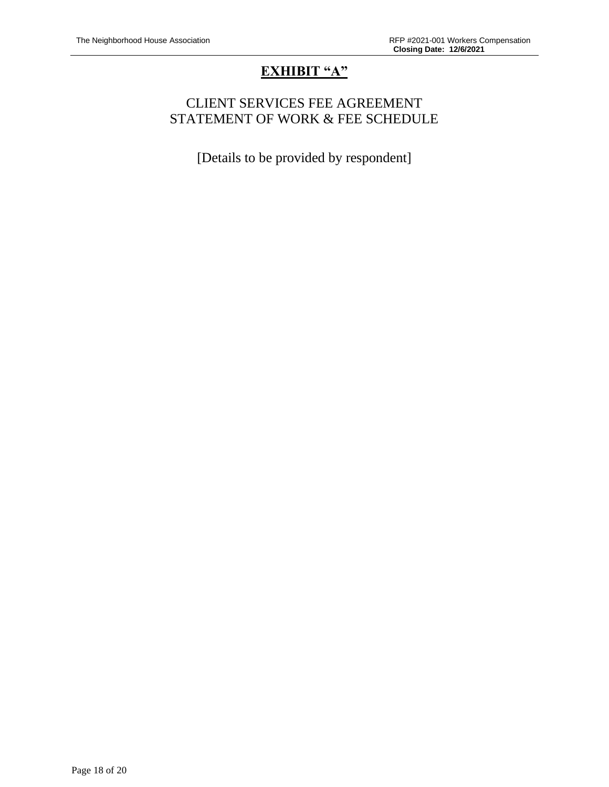# **EXHIBIT "A"**

# CLIENT SERVICES FEE AGREEMENT STATEMENT OF WORK & FEE SCHEDULE

[Details to be provided by respondent]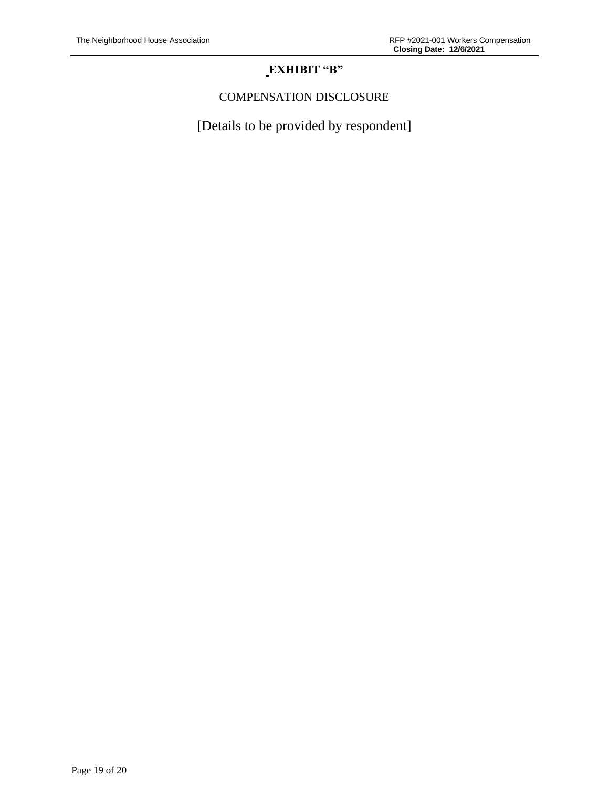# **EXHIBIT "B"**

# COMPENSATION DISCLOSURE

[Details to be provided by respondent]